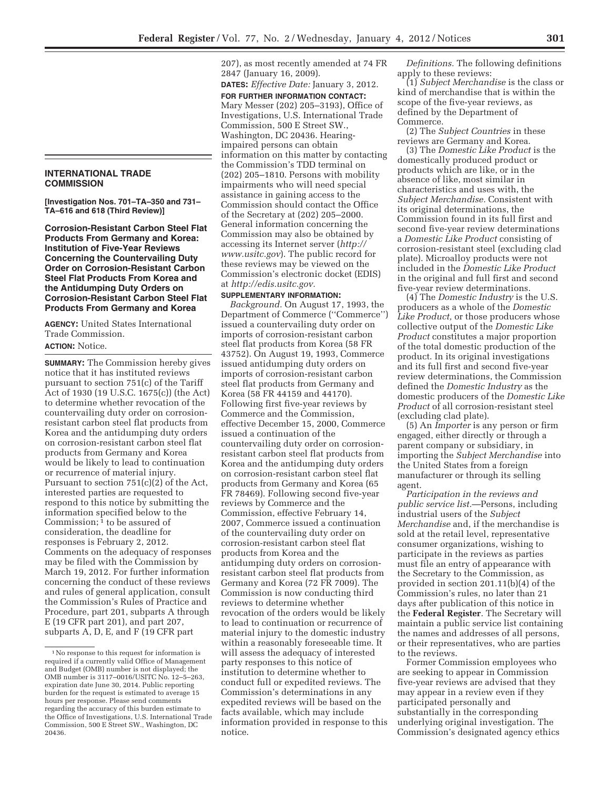## **INTERNATIONAL TRADE COMMISSION**

**[Investigation Nos. 701–TA–350 and 731– TA–616 and 618 (Third Review)]** 

**Corrosion-Resistant Carbon Steel Flat Products From Germany and Korea: Institution of Five-Year Reviews Concerning the Countervailing Duty Order on Corrosion-Resistant Carbon Steel Flat Products From Korea and the Antidumping Duty Orders on Corrosion-Resistant Carbon Steel Flat Products From Germany and Korea** 

**AGENCY:** United States International Trade Commission. **ACTION:** Notice.

**SUMMARY:** The Commission hereby gives notice that it has instituted reviews pursuant to section 751(c) of the Tariff Act of 1930 (19 U.S.C. 1675(c)) (the Act) to determine whether revocation of the countervailing duty order on corrosionresistant carbon steel flat products from Korea and the antidumping duty orders on corrosion-resistant carbon steel flat products from Germany and Korea would be likely to lead to continuation or recurrence of material injury. Pursuant to section 751(c)(2) of the Act, interested parties are requested to respond to this notice by submitting the information specified below to the Commission; 1 to be assured of consideration, the deadline for responses is February 2, 2012. Comments on the adequacy of responses may be filed with the Commission by March 19, 2012. For further information concerning the conduct of these reviews and rules of general application, consult the Commission's Rules of Practice and Procedure, part 201, subparts A through E (19 CFR part 201), and part 207, subparts A, D, E, and F (19 CFR part

207), as most recently amended at 74 FR 2847 (January 16, 2009).

**DATES:** *Effective Date:* January 3, 2012.

**FOR FURTHER INFORMATION CONTACT:**  Mary Messer (202) 205–3193), Office of Investigations, U.S. International Trade Commission, 500 E Street SW., Washington, DC 20436. Hearingimpaired persons can obtain information on this matter by contacting the Commission's TDD terminal on (202) 205–1810. Persons with mobility impairments who will need special assistance in gaining access to the Commission should contact the Office of the Secretary at (202) 205–2000. General information concerning the Commission may also be obtained by accessing its Internet server (*http:// www.usitc.gov*). The public record for these reviews may be viewed on the Commission's electronic docket (EDIS) at *http://edis.usitc.gov.* 

## **SUPPLEMENTARY INFORMATION:**

*Background.* On August 17, 1993, the Department of Commerce (''Commerce'') issued a countervailing duty order on imports of corrosion-resistant carbon steel flat products from Korea (58 FR 43752). On August 19, 1993, Commerce issued antidumping duty orders on imports of corrosion-resistant carbon steel flat products from Germany and Korea (58 FR 44159 and 44170). Following first five-year reviews by Commerce and the Commission, effective December 15, 2000, Commerce issued a continuation of the countervailing duty order on corrosionresistant carbon steel flat products from Korea and the antidumping duty orders on corrosion-resistant carbon steel flat products from Germany and Korea (65 FR 78469). Following second five-year reviews by Commerce and the Commission, effective February 14, 2007, Commerce issued a continuation of the countervailing duty order on corrosion-resistant carbon steel flat products from Korea and the antidumping duty orders on corrosionresistant carbon steel flat products from Germany and Korea (72 FR 7009). The Commission is now conducting third reviews to determine whether revocation of the orders would be likely to lead to continuation or recurrence of material injury to the domestic industry within a reasonably foreseeable time. It will assess the adequacy of interested party responses to this notice of institution to determine whether to conduct full or expedited reviews. The Commission's determinations in any expedited reviews will be based on the facts available, which may include information provided in response to this notice.

*Definitions.* The following definitions apply to these reviews:

(1) *Subject Merchandise* is the class or kind of merchandise that is within the scope of the five-year reviews, as defined by the Department of Commerce.

(2) The *Subject Countries* in these reviews are Germany and Korea.

(3) The *Domestic Like Product* is the domestically produced product or products which are like, or in the absence of like, most similar in characteristics and uses with, the *Subject Merchandise.* Consistent with its original determinations, the Commission found in its full first and second five-year review determinations a *Domestic Like Product* consisting of corrosion-resistant steel (excluding clad plate). Microalloy products were not included in the *Domestic Like Product*  in the original and full first and second five-year review determinations.

(4) The *Domestic Industry* is the U.S. producers as a whole of the *Domestic Like Product,* or those producers whose collective output of the *Domestic Like Product* constitutes a major proportion of the total domestic production of the product. In its original investigations and its full first and second five-year review determinations, the Commission defined the *Domestic Industry* as the domestic producers of the *Domestic Like Product* of all corrosion-resistant steel (excluding clad plate).

(5) An *Importer* is any person or firm engaged, either directly or through a parent company or subsidiary, in importing the *Subject Merchandise* into the United States from a foreign manufacturer or through its selling agent.

*Participation in the reviews and public service list.*—Persons, including industrial users of the *Subject Merchandise* and, if the merchandise is sold at the retail level, representative consumer organizations, wishing to participate in the reviews as parties must file an entry of appearance with the Secretary to the Commission, as provided in section 201.11(b)(4) of the Commission's rules, no later than 21 days after publication of this notice in the **Federal Register**. The Secretary will maintain a public service list containing the names and addresses of all persons, or their representatives, who are parties to the reviews.

Former Commission employees who are seeking to appear in Commission five-year reviews are advised that they may appear in a review even if they participated personally and substantially in the corresponding underlying original investigation. The Commission's designated agency ethics

<sup>1</sup>No response to this request for information is required if a currently valid Office of Management and Budget (OMB) number is not displayed; the OMB number is 3117–0016/USITC No. 12–5–263, expiration date June 30, 2014. Public reporting burden for the request is estimated to average 15 hours per response. Please send comments regarding the accuracy of this burden estimate to the Office of Investigations, U.S. International Trade Commission, 500 E Street SW., Washington, DC 20436.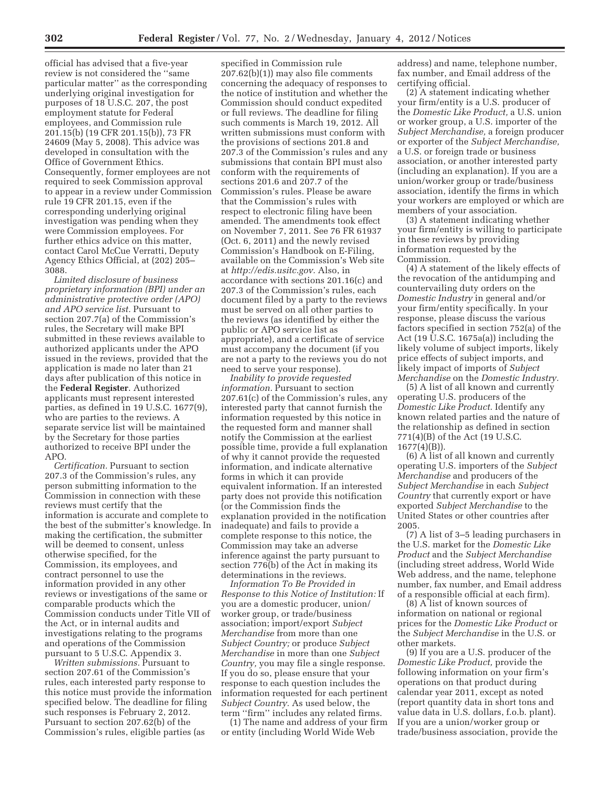official has advised that a five-year review is not considered the ''same particular matter'' as the corresponding underlying original investigation for purposes of 18 U.S.C. 207, the post employment statute for Federal employees, and Commission rule 201.15(b) (19 CFR 201.15(b)), 73 FR 24609 (May 5, 2008). This advice was developed in consultation with the Office of Government Ethics. Consequently, former employees are not required to seek Commission approval to appear in a review under Commission rule 19 CFR 201.15, even if the corresponding underlying original investigation was pending when they were Commission employees. For further ethics advice on this matter, contact Carol McCue Verratti, Deputy Agency Ethics Official, at (202) 205– 3088.

*Limited disclosure of business proprietary information (BPI) under an administrative protective order (APO) and APO service list.* Pursuant to section 207.7(a) of the Commission's rules, the Secretary will make BPI submitted in these reviews available to authorized applicants under the APO issued in the reviews, provided that the application is made no later than 21 days after publication of this notice in the **Federal Register**. Authorized applicants must represent interested parties, as defined in 19 U.S.C. 1677(9), who are parties to the reviews. A separate service list will be maintained by the Secretary for those parties authorized to receive BPI under the APO.

*Certification.* Pursuant to section 207.3 of the Commission's rules, any person submitting information to the Commission in connection with these reviews must certify that the information is accurate and complete to the best of the submitter's knowledge. In making the certification, the submitter will be deemed to consent, unless otherwise specified, for the Commission, its employees, and contract personnel to use the information provided in any other reviews or investigations of the same or comparable products which the Commission conducts under Title VII of the Act, or in internal audits and investigations relating to the programs and operations of the Commission pursuant to 5 U.S.C. Appendix 3.

*Written submissions.* Pursuant to section 207.61 of the Commission's rules, each interested party response to this notice must provide the information specified below. The deadline for filing such responses is February 2, 2012. Pursuant to section 207.62(b) of the Commission's rules, eligible parties (as

specified in Commission rule 207.62(b)(1)) may also file comments concerning the adequacy of responses to the notice of institution and whether the Commission should conduct expedited or full reviews. The deadline for filing such comments is March 19, 2012. All written submissions must conform with the provisions of sections 201.8 and 207.3 of the Commission's rules and any submissions that contain BPI must also conform with the requirements of sections 201.6 and 207.7 of the Commission's rules. Please be aware that the Commission's rules with respect to electronic filing have been amended. The amendments took effect on November 7, 2011. See 76 FR 61937 (Oct. 6, 2011) and the newly revised Commission's Handbook on E-Filing, available on the Commission's Web site at *http://edis.usitc.gov.* Also, in accordance with sections 201.16(c) and 207.3 of the Commission's rules, each document filed by a party to the reviews must be served on all other parties to the reviews (as identified by either the public or APO service list as appropriate), and a certificate of service must accompany the document (if you are not a party to the reviews you do not need to serve your response).

*Inability to provide requested information.* Pursuant to section 207.61(c) of the Commission's rules, any interested party that cannot furnish the information requested by this notice in the requested form and manner shall notify the Commission at the earliest possible time, provide a full explanation of why it cannot provide the requested information, and indicate alternative forms in which it can provide equivalent information. If an interested party does not provide this notification (or the Commission finds the explanation provided in the notification inadequate) and fails to provide a complete response to this notice, the Commission may take an adverse inference against the party pursuant to section 776(b) of the Act in making its determinations in the reviews.

*Information To Be Provided in Response to this Notice of Institution:* If you are a domestic producer, union/ worker group, or trade/business association; import/export *Subject Merchandise* from more than one *Subject Country;* or produce *Subject Merchandise* in more than one *Subject Country,* you may file a single response. If you do so, please ensure that your response to each question includes the information requested for each pertinent *Subject Country.* As used below, the term ''firm'' includes any related firms.

(1) The name and address of your firm or entity (including World Wide Web

address) and name, telephone number, fax number, and Email address of the certifying official.

(2) A statement indicating whether your firm/entity is a U.S. producer of the *Domestic Like Product,* a U.S. union or worker group, a U.S. importer of the *Subject Merchandise,* a foreign producer or exporter of the *Subject Merchandise,*  a U.S. or foreign trade or business association, or another interested party (including an explanation). If you are a union/worker group or trade/business association, identify the firms in which your workers are employed or which are members of your association.

(3) A statement indicating whether your firm/entity is willing to participate in these reviews by providing information requested by the Commission.

(4) A statement of the likely effects of the revocation of the antidumping and countervailing duty orders on the *Domestic Industry* in general and/or your firm/entity specifically. In your response, please discuss the various factors specified in section 752(a) of the Act (19 U.S.C. 1675a(a)) including the likely volume of subject imports, likely price effects of subject imports, and likely impact of imports of *Subject Merchandise* on the *Domestic Industry.* 

(5) A list of all known and currently operating U.S. producers of the *Domestic Like Product.* Identify any known related parties and the nature of the relationship as defined in section 771(4)(B) of the Act (19 U.S.C.  $1677(4)(B)$ ).

(6) A list of all known and currently operating U.S. importers of the *Subject Merchandise* and producers of the *Subject Merchandise* in each *Subject Country* that currently export or have exported *Subject Merchandise* to the United States or other countries after 2005.

(7) A list of 3–5 leading purchasers in the U.S. market for the *Domestic Like Product* and the *Subject Merchandise*  (including street address, World Wide Web address, and the name, telephone number, fax number, and Email address of a responsible official at each firm).

(8) A list of known sources of information on national or regional prices for the *Domestic Like Product* or the *Subject Merchandise* in the U.S. or other markets.

(9) If you are a U.S. producer of the *Domestic Like Product,* provide the following information on your firm's operations on that product during calendar year 2011, except as noted (report quantity data in short tons and value data in U.S. dollars, f.o.b. plant). If you are a union/worker group or trade/business association, provide the